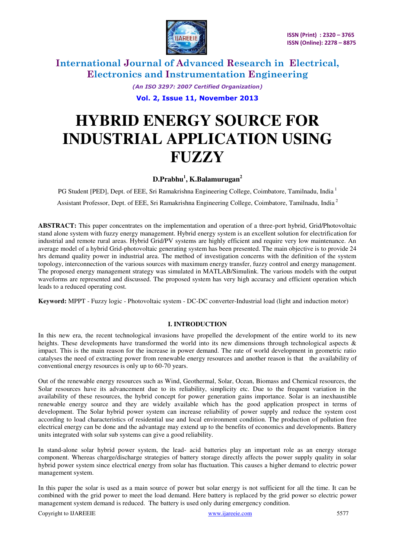

> *(An ISO 3297: 2007 Certified Organization)*  **Vol. 2, Issue 11, November 2013**

# **HYBRID ENERGY SOURCE FOR INDUSTRIAL APPLICATION USING FUZZY**

### **D.Prabhu<sup>1</sup> , K.Balamurugan<sup>2</sup>**

PG Student [PED], Dept. of EEE, Sri Ramakrishna Engineering College, Coimbatore, Tamilnadu, India<sup>1</sup> Assistant Professor, Dept. of EEE, Sri Ramakrishna Engineering College, Coimbatore, Tamilnadu, India<sup>2</sup>

**ABSTRACT:** This paper concentrates on the implementation and operation of a three-port hybrid, Grid/Photovoltaic stand alone system with fuzzy energy management. Hybrid energy system is an excellent solution for electrification for industrial and remote rural areas. Hybrid Grid/PV systems are highly efficient and require very low maintenance. An average model of a hybrid Grid-photovoltaic generating system has been presented. The main objective is to provide 24 hrs demand quality power in industrial area. The method of investigation concerns with the definition of the system topology, interconnection of the various sources with maximum energy transfer, fuzzy control and energy management. The proposed energy management strategy was simulated in MATLAB/Simulink. The various models with the output waveforms are represented and discussed. The proposed system has very high accuracy and efficient operation which leads to a reduced operating cost.

**Keyword:** MPPT - Fuzzy logic - Photovoltaic system - DC-DC converter-Industrial load (light and induction motor)

#### **I. INTRODUCTION**

In this new era, the recent technological invasions have propelled the development of the entire world to its new heights. These developments have transformed the world into its new dimensions through technological aspects & impact. This is the main reason for the increase in power demand. The rate of world development in geometric ratio catalyses the need of extracting power from renewable energy resources and another reason is that the availability of conventional energy resources is only up to 60-70 years.

Out of the renewable energy resources such as Wind, Geothermal, Solar, Ocean, Biomass and Chemical resources, the Solar resources have its advancement due to its reliability, simplicity etc. Due to the frequent variation in the availability of these resources, the hybrid concept for power generation gains importance. Solar is an inexhaustible renewable energy source and they are widely available which has the good application prospect in terms of development. The Solar hybrid power system can increase reliability of power supply and reduce the system cost according to load characteristics of residential use and local environment condition. The production of pollution free electrical energy can be done and the advantage may extend up to the benefits of economics and developments. Battery units integrated with solar sub systems can give a good reliability.

In stand-alone solar hybrid power system, the lead- acid batteries play an important role as an energy storage component. Whereas charge/discharge strategies of battery storage directly affects the power supply quality in solar hybrid power system since electrical energy from solar has fluctuation. This causes a higher demand to electric power management system.

In this paper the solar is used as a main source of power but solar energy is not sufficient for all the time. It can be combined with the grid power to meet the load demand. Here battery is replaced by the grid power so electric power management system demand is reduced. The battery is used only during emergency condition.

Copyright to IJAREEIE www.ijareeie.com 5577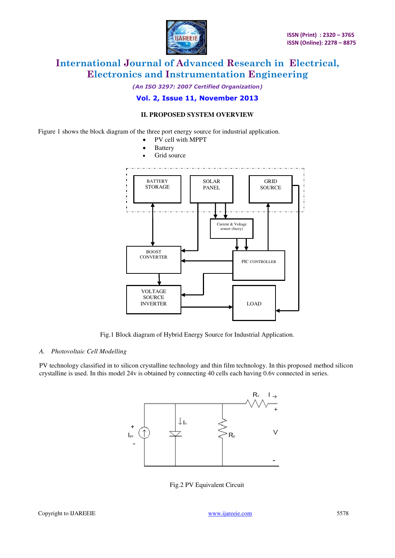

*(An ISO 3297: 2007 Certified Organization)* 

#### **Vol. 2, Issue 11, November 2013**

#### **II. PROPOSED SYSTEM OVERVIEW**

Figure 1 shows the block diagram of the three port energy source for industrial application.

- PV cell with MPPT
- Battery



Fig.1 Block diagram of Hybrid Energy Source for Industrial Application.

#### *A. Photovoltaic Cell Modelling*

PV technology classified in to silicon crystalline technology and thin film technology. In this proposed method silicon crystalline is used. In this model 24v is obtained by connecting 40 cells each having 0.6v connected in series.



Fig.2 PV Equivalent Circuit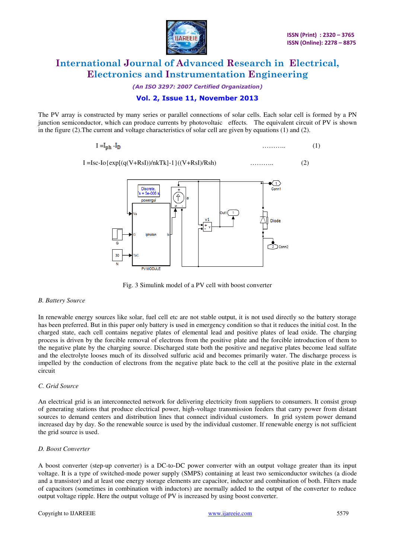

*(An ISO 3297: 2007 Certified Organization)* 

#### **Vol. 2, Issue 11, November 2013**

The PV array is constructed by many series or parallel connections of solar cells. Each solar cell is formed by a PN junction semiconductor, which can produce currents by photovoltaic effects. The equivalent circuit of PV is shown in the figure (2).The current and voltage characteristics of solar cell are given by equations (1) and (2).

$$
I = I_{ph} - I_D \tag{1}
$$

$$
I = Isc-Io\{exp[(q(V+RsI))/nkTk]-1\}((V+RsI)/Rsh)
$$
\n(2)



Fig. 3 Simulink model of a PV cell with boost converter

#### *B. Battery Source*

In renewable energy sources like solar, fuel cell etc are not stable output, it is not used directly so the battery storage has been preferred. But in this paper only battery is used in emergency condition so that it reduces the initial cost. In the charged state, each cell contains negative plates of elemental lead and positive plates of [lead oxide.](http://en.wikipedia.org/wiki/Lead%28IV%29_oxide) The charging process is driven by the forcible removal of electrons from the positive plate and the forcible introduction of them to the negative plate by the charging source. Discharged state both the positive and negative plates become [lead sulfate](http://en.wikipedia.org/wiki/Lead%28II%29_sulfate)  and the [electrolyte](http://en.wikipedia.org/wiki/Electrolyte) looses much of its dissolved [sulfuric acid](http://en.wikipedia.org/wiki/Sulfuric_acid) and becomes primarily water. The discharge process is impelled by the conduction of electrons from the negative plate back to the cell at the positive plate in the external circuit

#### *C. Grid Source*

An electrical grid is an interconnected network for delivering [electricity](http://en.wikipedia.org/wiki/Electricity) from suppliers to consumers. It consist group of generating stations that produce electrical power, high-voltage transmission feeders that carry power from distant sources to demand centers and distribution lines that connect individual customers. In grid system power demand increased day by day. So the renewable source is used by the individual customer. If renewable energy is not sufficient the grid source is used.

#### *D. Boost Converter*

A boost converter (step-up converter) is a DC-to-DC power converter with an output voltage greater than its input voltage. It is a type of switched-mode power supply (SMPS) containing at least two semiconductor switches (a diode and a transistor) and at least one energy storage elements are capacitor, inductor and combination of both. Filters made of capacitors (sometimes in combination with inductors) are normally added to the output of the converter to reduce output voltage ripple. Here the output voltage of PV is increased by using boost converter.

#### Copyright to IJAREEIE www.ijareeie.com 5579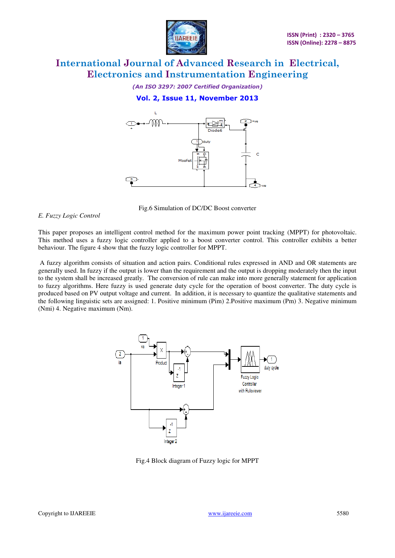

*(An ISO 3297: 2007 Certified Organization)*  **Vol. 2, Issue 11, November 2013** 



Fig.6 Simulation of DC/DC Boost converter

#### *E. Fuzzy Logic Control*

This paper proposes an intelligent control method for the maximum power point tracking (MPPT) for photovoltaic. This method uses a fuzzy logic controller applied to a boost converter control. This controller exhibits a better behaviour. The figure 4 show that the fuzzy logic controller for MPPT.

 A fuzzy algorithm consists of situation and action pairs. Conditional rules expressed in AND and OR statements are generally used. In fuzzy if the output is lower than the requirement and the output is dropping moderately then the input to the system shall be increased greatly. The conversion of rule can make into more generally statement for application to fuzzy algorithms. Here fuzzy is used generate duty cycle for the operation of boost converter. The duty cycle is produced based on PV output voltage and current. In addition, it is necessary to quantize the qualitative statements and the following linguistic sets are assigned: 1. Positive minimum (Pim) 2.Positive maximum (Pm) 3. Negative minimum (Nmi) 4. Negative maximum (Nm).



Fig.4 Block diagram of Fuzzy logic for MPPT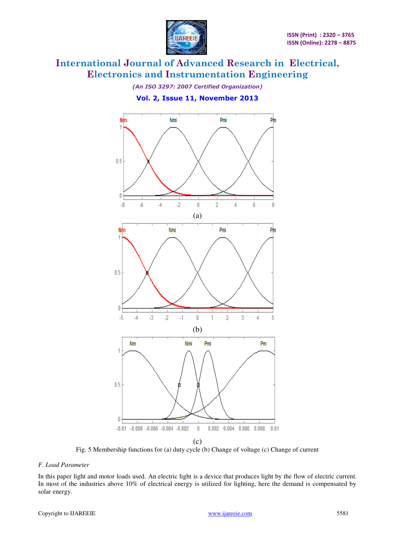

*(An ISO 3297: 2007 Certified Organization)*  **Vol. 2, Issue 11, November 2013** 



Fig. 5 Membership functions for (a) duty cycle (b) Change of voltage (c) Change of current

#### *F. Load Parameter*

In this paper light and motor loads used. An electric light is a device that produces light by the flow of electric current. In most of the industries above 10% of electrical energy is utilized for lighting, here the demand is compensated by solar energy.

#### Copyright to IJAREEIE www.ijareeie.com 5581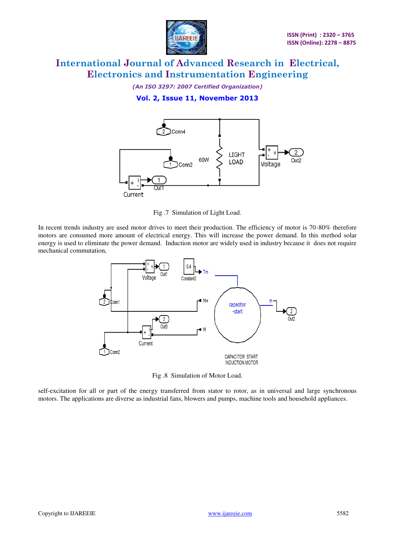

*(An ISO 3297: 2007 Certified Organization)* 

**Vol. 2, Issue 11, November 2013** 



Fig .7 Simulation of Light Load.

In recent trends industry are used motor drives to meet their production. The efficiency of motor is 70-80% therefore motors are consumed more amount of electrical energy. This will increase the power demand. In this method solar energy is used to eliminate the power demand. Induction motor are widely used in industry because it does not require mechanical commutation,



Fig .8 Simulation of Motor Load.

self-excitation for all or part of the energy transferred from stator to rotor, as in universal and large synchronous motors. The applications are diverse as industrial fans, blowers and pumps, machine tools and household appliances.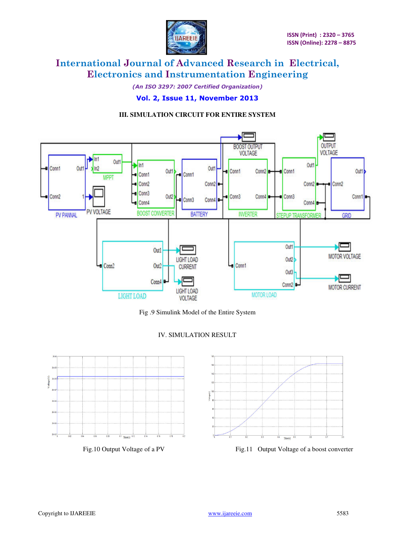

*(An ISO 3297: 2007 Certified Organization)* 

#### **Vol. 2, Issue 11, November 2013**

#### **III. SIMULATION CIRCUIT FOR ENTIRE SYSTEM**



Fig .9 Simulink Model of the Entire System

#### IV. SIMULATION RESULT





Fig.10 Output Voltage of a PV Fig.11 Output Voltage of a boost converter